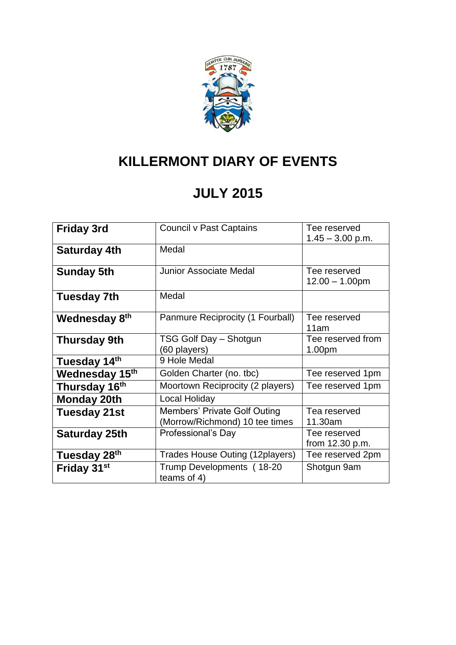

# **KILLERMONT DIARY OF EVENTS**

### **JULY 2015**

|                           | Council v Past Captains          | Tee reserved       |
|---------------------------|----------------------------------|--------------------|
| <b>Friday 3rd</b>         |                                  |                    |
|                           |                                  | $1.45 - 3.00$ p.m. |
| Saturday 4th              | Medal                            |                    |
|                           |                                  |                    |
| <b>Sunday 5th</b>         | Junior Associate Medal           | Tee reserved       |
|                           |                                  | $12.00 - 1.00$ pm  |
| <b>Tuesday 7th</b>        | Medal                            |                    |
|                           |                                  |                    |
| Wednesday 8 <sup>th</sup> | Panmure Reciprocity (1 Fourball) | Tee reserved       |
|                           |                                  | 11am               |
| Thursday 9th              | TSG Golf Day - Shotgun           | Tee reserved from  |
|                           | (60 players)                     | 1.00pm             |
| Tuesday 14th              | 9 Hole Medal                     |                    |
| Wednesday 15th            | Golden Charter (no. tbc)         | Tee reserved 1pm   |
| Thursday 16 <sup>th</sup> | Moortown Reciprocity (2 players) | Tee reserved 1pm   |
| <b>Monday 20th</b>        | Local Holiday                    |                    |
| <b>Tuesday 21st</b>       | Members' Private Golf Outing     | Tea reserved       |
|                           | (Morrow/Richmond) 10 tee times   | 11.30am            |
| Saturday 25th             | Professional's Day               | Tee reserved       |
|                           |                                  | from 12.30 p.m.    |
| Tuesday 28 <sup>th</sup>  | Trades House Outing (12 players) | Tee reserved 2pm   |
| Friday 31 <sup>st</sup>   | Trump Developments (18-20        | Shotgun 9am        |
|                           | teams of 4)                      |                    |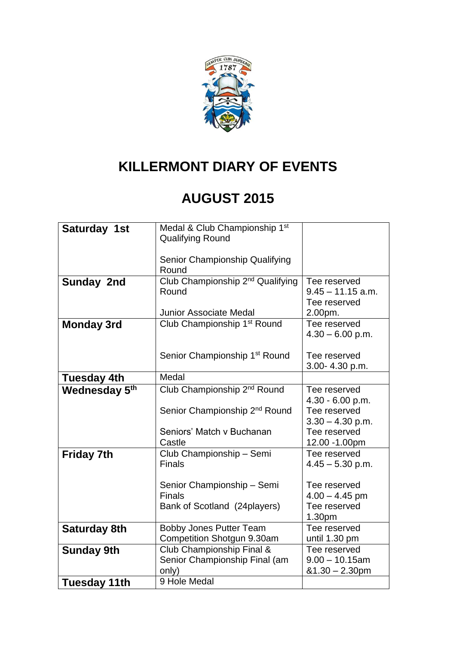

#### **KILLERMONT DIARY OF EVENTS**

#### **AUGUST 2015**

| Saturday 1st              | Medal & Club Championship 1st<br><b>Qualifying Round</b>                     |                                                            |
|---------------------------|------------------------------------------------------------------------------|------------------------------------------------------------|
|                           | Senior Championship Qualifying<br>Round                                      |                                                            |
| Sunday 2nd                | Club Championship 2 <sup>nd</sup> Qualifying<br>Round                        | Tee reserved<br>$9.45 - 11.15$ a.m.<br>Tee reserved        |
|                           | <b>Junior Associate Medal</b>                                                | 2.00pm.                                                    |
| <b>Monday 3rd</b>         | Club Championship 1 <sup>st</sup> Round                                      | Tee reserved<br>$4.30 - 6.00$ p.m.                         |
|                           | Senior Championship 1 <sup>st</sup> Round                                    | Tee reserved<br>3.00-4.30 p.m.                             |
| <b>Tuesday 4th</b>        | Medal                                                                        |                                                            |
| Wednesday 5 <sup>th</sup> | Club Championship 2 <sup>nd</sup> Round                                      | Tee reserved<br>4.30 - 6.00 p.m.                           |
|                           | Senior Championship 2 <sup>nd</sup> Round                                    | Tee reserved<br>$3.30 - 4.30$ p.m.                         |
|                           | Seniors' Match v Buchanan<br>Castle                                          | Tee reserved<br>12.00 - 1.00pm                             |
| <b>Friday 7th</b>         | Club Championship - Semi<br><b>Finals</b>                                    | Tee reserved<br>$4.45 - 5.30$ p.m.                         |
|                           | Senior Championship - Semi<br><b>Finals</b><br>Bank of Scotland (24 players) | Tee reserved<br>$4.00 - 4.45$ pm<br>Tee reserved<br>1.30pm |
| <b>Saturday 8th</b>       | <b>Bobby Jones Putter Team</b><br>Competition Shotgun 9.30am                 | Tee reserved<br>until 1.30 pm                              |
| <b>Sunday 9th</b>         | Club Championship Final &<br>Senior Championship Final (am<br>only)          | Tee reserved<br>$9.00 - 10.15$ am<br>$&1.30 - 2.30$ pm     |
| <b>Tuesday 11th</b>       | 9 Hole Medal                                                                 |                                                            |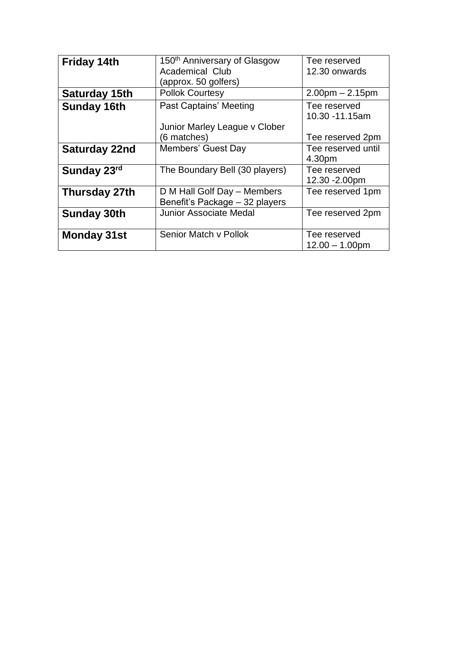| <b>Friday 14th</b>   | 150 <sup>th</sup> Anniversary of Glasgow | Tee reserved       |
|----------------------|------------------------------------------|--------------------|
|                      | <b>Academical Club</b>                   | 12.30 onwards      |
|                      | (approx. 50 golfers)                     |                    |
| <b>Saturday 15th</b> | <b>Pollok Courtesy</b>                   | $2.00pm - 2.15pm$  |
| <b>Sunday 16th</b>   | Past Captains' Meeting                   | Tee reserved       |
|                      |                                          | 10.30 -11.15am     |
|                      | Junior Marley League v Clober            |                    |
|                      | (6 matches)                              | Tee reserved 2pm   |
| <b>Saturday 22nd</b> | Members' Guest Day                       | Tee reserved until |
|                      |                                          | 4.30pm             |
| Sunday 23rd          | The Boundary Bell (30 players)           | Tee reserved       |
|                      |                                          | 12.30 - 2.00pm     |
| Thursday 27th        | D M Hall Golf Day - Members              | Tee reserved 1pm   |
|                      | Benefit's Package - 32 players           |                    |
| <b>Sunday 30th</b>   | <b>Junior Associate Medal</b>            | Tee reserved 2pm   |
|                      |                                          |                    |
| <b>Monday 31st</b>   | Senior Match v Pollok                    | Tee reserved       |
|                      |                                          | $12.00 - 1.00$ pm  |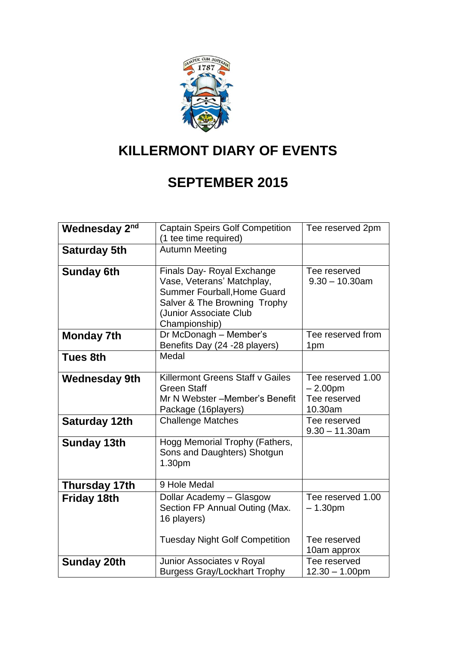

## **KILLERMONT DIARY OF EVENTS**

#### **SEPTEMBER 2015**

| Wednesday 2 <sup>nd</sup> | <b>Captain Speirs Golf Competition</b>                                                                                                                                    | Tee reserved 2pm                                          |
|---------------------------|---------------------------------------------------------------------------------------------------------------------------------------------------------------------------|-----------------------------------------------------------|
|                           | (1 tee time required)                                                                                                                                                     |                                                           |
| <b>Saturday 5th</b>       | <b>Autumn Meeting</b>                                                                                                                                                     |                                                           |
| <b>Sunday 6th</b>         | Finals Day- Royal Exchange<br>Vase, Veterans' Matchplay,<br><b>Summer Fourball, Home Guard</b><br>Salver & The Browning Trophy<br>(Junior Associate Club<br>Championship) | Tee reserved<br>$9.30 - 10.30$ am                         |
| <b>Monday 7th</b>         | Dr McDonagh - Member's<br>Benefits Day (24 -28 players)                                                                                                                   | Tee reserved from<br>1pm                                  |
| <b>Tues 8th</b>           | Medal                                                                                                                                                                     |                                                           |
| <b>Wednesday 9th</b>      | Killermont Greens Staff v Gailes<br><b>Green Staff</b><br>Mr N Webster - Member's Benefit<br>Package (16players)                                                          | Tee reserved 1.00<br>$-2.00pm$<br>Tee reserved<br>10.30am |
| Saturday 12th             | <b>Challenge Matches</b>                                                                                                                                                  | Tee reserved<br>$9.30 - 11.30$ am                         |
| <b>Sunday 13th</b>        | Hogg Memorial Trophy (Fathers,<br>Sons and Daughters) Shotgun<br>1.30pm                                                                                                   |                                                           |
| <b>Thursday 17th</b>      | 9 Hole Medal                                                                                                                                                              |                                                           |
| <b>Friday 18th</b>        | Dollar Academy - Glasgow<br>Section FP Annual Outing (Max.<br>16 players)                                                                                                 | Tee reserved 1.00<br>$-1.30pm$                            |
|                           | <b>Tuesday Night Golf Competition</b>                                                                                                                                     | Tee reserved<br>10am approx                               |
| <b>Sunday 20th</b>        | Junior Associates v Royal<br><b>Burgess Gray/Lockhart Trophy</b>                                                                                                          | Tee reserved<br>$12.30 - 1.00$ pm                         |